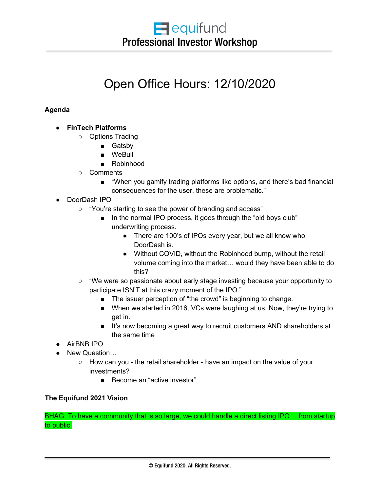# Open Office Hours: 12/10/2020

## **Agenda**

- **FinTech Platforms**
	- Options Trading
		- Gatsby
		- WeBull
		- Robinhood
	- Comments
		- "When you gamify trading platforms like options, and there's bad financial consequences for the user, these are problematic."
- DoorDash IPO
	- "You're starting to see the power of branding and access"
		- In the normal IPO process, it goes through the "old boys club" underwriting process.
			- There are 100's of IPOs every year, but we all know who DoorDash is.
			- Without COVID, without the Robinhood bump, without the retail volume coming into the market… would they have been able to do this?
	- "We were so passionate about early stage investing because your opportunity to participate ISN'T at this crazy moment of the IPO."
		- The issuer perception of "the crowd" is beginning to change.
		- When we started in 2016, VCs were laughing at us. Now, they're trying to get in.
		- It's now becoming a great way to recruit customers AND shareholders at the same time
- AirBNB IPO
- New Question...
	- How can you the retail shareholder have an impact on the value of your investments?
		- Become an "active investor"

#### **The Equifund 2021 Vision**

BHAG: To have a community that is so large, we could handle a direct listing IPO… from startup to public.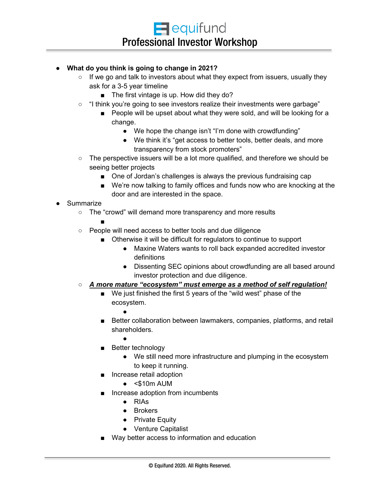### ● **What do you think is going to change in 2021?**

- $\circ$  If we go and talk to investors about what they expect from issuers, usually they ask for a 3-5 year timeline
	- The first vintage is up. How did they do?
- "I think you're going to see investors realize their investments were garbage"
	- People will be upset about what they were sold, and will be looking for a change.
		- We hope the change isn't "I'm done with crowdfunding"
		- We think it's "get access to better tools, better deals, and more transparency from stock promoters"
- $\circ$  The perspective issuers will be a lot more qualified, and therefore we should be seeing better projects
	- One of Jordan's challenges is always the previous fundraising cap
	- We're now talking to family offices and funds now who are knocking at the door and are interested in the space.
- Summarize
	- The "crowd" will demand more transparency and more results

■

- People will need access to better tools and due diligence
	- Otherwise it will be difficult for regulators to continue to support
		- Maxine Waters wants to roll back expanded accredited investor definitions
		- Dissenting SEC opinions about crowdfunding are all based around investor protection and due diligence.
- *A more mature "ecosystem" must emerge as a method of self regulation!*
	- We just finished the first 5 years of the "wild west" phase of the ecosystem.
		- ●
	- Better collaboration between lawmakers, companies, platforms, and retail shareholders.
		- ●
	- Better technology
		- We still need more infrastructure and plumping in the ecosystem to keep it running.
	- Increase retail adoption
		- $\bullet$  <\$10m AUM
	- Increase adoption from incumbents
		- RIAs
		- Brokers
		- Private Equity
		- Venture Capitalist
	- Way better access to information and education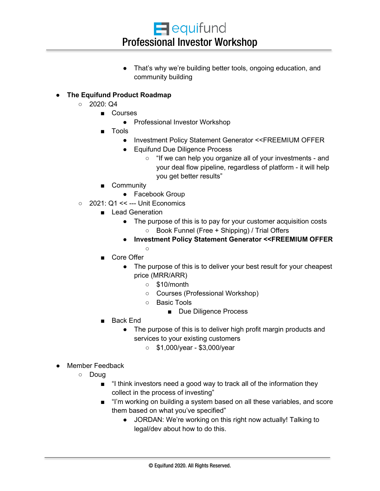$\blacksquare$  equifund Professional Investor Workshop

● That's why we're building better tools, ongoing education, and community building

## ● **The Equifund Product Roadmap**

- $\circ$  2020: Q4
	- Courses
		- Professional Investor Workshop
	- Tools
		- Investment Policy Statement Generator <<FREEMIUM OFFER
		- Equifund Due Diligence Process
			- "If we can help you organize all of your investments and your deal flow pipeline, regardless of platform - it will help you get better results"
	- Community
		- Facebook Group
- 2021: Q1 << --- Unit Economics
	- Lead Generation
		- The purpose of this is to pay for your customer acquisition costs ○ Book Funnel (Free + Shipping) / Trial Offers
		- **Investment Policy Statement Generator <<FREEMIUM OFFER**  $\Omega$
	- Core Offer
		- The purpose of this is to deliver your best result for your cheapest price (MRR/ARR)
			- \$10/month
			- Courses (Professional Workshop)
			- Basic Tools
				- Due Diligence Process
	- Back End
		- The purpose of this is to deliver high profit margin products and services to your existing customers
			- \$1,000/year \$3,000/year
- Member Feedback
	- Doug
		- "I think investors need a good way to track all of the information they collect in the process of investing"
		- "I'm working on building a system based on all these variables, and score them based on what you've specified"
			- JORDAN: We're working on this right now actually! Talking to legal/dev about how to do this.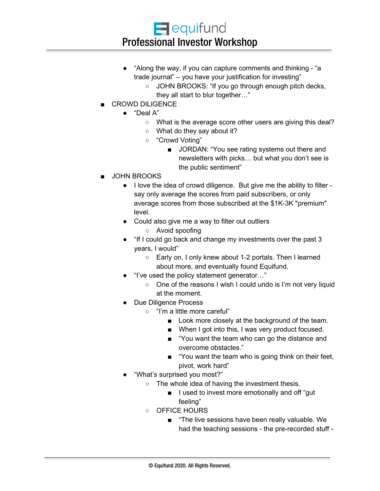- "Along the way, if you can capture comments and thinking "a trade journal" – you have your justification for investing"
	- JOHN BROOKS: "If you go through enough pitch decks, they all start to blur together…"
- CROWD DILIGENCE
	- "Deal A"
		- What is the average score other users are giving this deal?
		- What do they say about it?
		- "Crowd Voting"
			- JORDAN: "You see rating systems out there and newsletters with picks… but what you don't see is the public sentiment"
- JOHN BROOKS
	- I love the idea of crowd diligence. But give me the ability to filter say only average the scores from paid subscribers, or only average scores from those subscribed at the \$1K-3K "premium" level.
	- Could also give me a way to filter out outliers
		- Avoid spoofing
	- "If I could go back and change my investments over the past 3 years, I would"
		- Early on, I only knew about 1-2 portals. Then I learned about more, and eventually found Equifund.
	- "I've used the policy statement generator..."
		- One of the reasons I wish I could undo is I'm not very liquid at the moment.
	- Due Diligence Process
		- "I'm a little more careful"
			- Look more closely at the background of the team.
			- When I got into this, I was very product focused.
			- "You want the team who can go the distance and overcome obstacles."
			- "You want the team who is going think on their feet, pivot, work hard"
	- "What's surprised you most?"
		- The whole idea of having the investment thesis.
			- I used to invest more emotionally and off "gut" feeling"
		- OFFICE HOURS
			- "The live sessions have been really valuable. We had the teaching sessions - the pre-recorded stuff -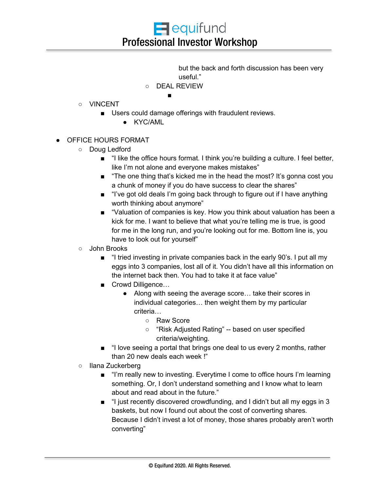but the back and forth discussion has been very useful."

○ DEAL REVIEW

■

- VINCENT
	- Users could damage offerings with fraudulent reviews.
		- KYC/AML
- OFFICE HOURS FORMAT
	- Doug Ledford
		- "I like the office hours format. I think you're building a culture. I feel better, like I'm not alone and everyone makes mistakes"
		- "The one thing that's kicked me in the head the most? It's gonna cost you a chunk of money if you do have success to clear the shares"
		- "I've got old deals I'm going back through to figure out if I have anything worth thinking about anymore"
		- "Valuation of companies is key. How you think about valuation has been a kick for me. I want to believe that what you're telling me is true, is good for me in the long run, and you're looking out for me. Bottom line is, you have to look out for yourself"
	- John Brooks
		- "I tried investing in private companies back in the early 90's. I put all my eggs into 3 companies, lost all of it. You didn't have all this information on the internet back then. You had to take it at face value"
		- Crowd Dilligence...
			- Along with seeing the average score… take their scores in individual categories… then weight them by my particular criteria…
				- Raw Score
				- "Risk Adjusted Rating" -- based on user specified criteria/weighting.
		- "I love seeing a portal that brings one deal to us every 2 months, rather than 20 new deals each week !"
	- Ilana Zuckerberg
		- "I'm really new to investing. Everytime I come to office hours I'm learning something. Or, I don't understand something and I know what to learn about and read about in the future."
		- "I just recently discovered crowdfunding, and I didn't but all my eggs in 3 baskets, but now I found out about the cost of converting shares. Because I didn't invest a lot of money, those shares probably aren't worth converting"